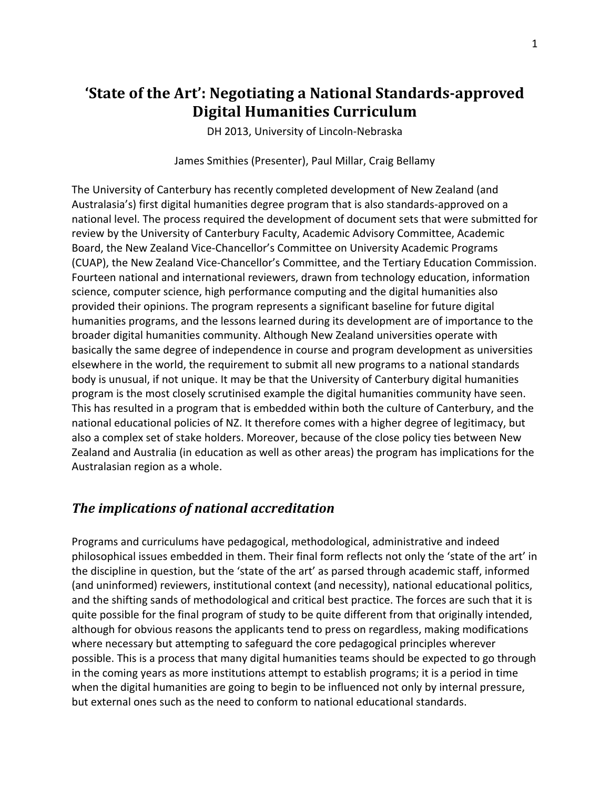## **'State of the Art': Negotiating a National Standards-approved Digital Humanities Curriculum**

DH 2013, University of Lincoln-Nebraska

James Smithies (Presenter), Paul Millar, Craig Bellamy

The University of Canterbury has recently completed development of New Zealand (and Australasia's) first digital humanities degree program that is also standards-approved on a national level. The process required the development of document sets that were submitted for review by the University of Canterbury Faculty, Academic Advisory Committee, Academic Board, the New Zealand Vice-Chancellor's Committee on University Academic Programs (CUAP), the New Zealand Vice-Chancellor's Committee, and the Tertiary Education Commission. Fourteen national and international reviewers, drawn from technology education, information science, computer science, high performance computing and the digital humanities also provided their opinions. The program represents a significant baseline for future digital humanities programs, and the lessons learned during its development are of importance to the broader digital humanities community. Although New Zealand universities operate with basically the same degree of independence in course and program development as universities elsewhere in the world, the requirement to submit all new programs to a national standards body is unusual, if not unique. It may be that the University of Canterbury digital humanities program is the most closely scrutinised example the digital humanities community have seen. This has resulted in a program that is embedded within both the culture of Canterbury, and the national educational policies of NZ. It therefore comes with a higher degree of legitimacy, but also a complex set of stake holders. Moreover, because of the close policy ties between New Zealand and Australia (in education as well as other areas) the program has implications for the Australasian region as a whole.

## **The implications of national accreditation**

Programs and curriculums have pedagogical, methodological, administrative and indeed philosophical issues embedded in them. Their final form reflects not only the 'state of the art' in the discipline in question, but the 'state of the art' as parsed through academic staff, informed (and uninformed) reviewers, institutional context (and necessity), national educational politics, and the shifting sands of methodological and critical best practice. The forces are such that it is quite possible for the final program of study to be quite different from that originally intended, although for obvious reasons the applicants tend to press on regardless, making modifications where necessary but attempting to safeguard the core pedagogical principles wherever possible. This is a process that many digital humanities teams should be expected to go through in the coming years as more institutions attempt to establish programs; it is a period in time when the digital humanities are going to begin to be influenced not only by internal pressure, but external ones such as the need to conform to national educational standards.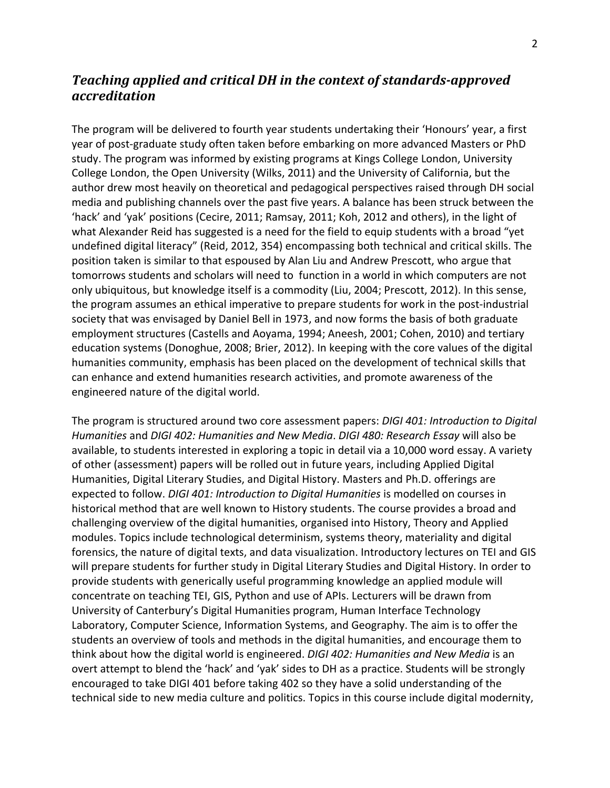## *Teaching applied and critical DH in the context of standards-approved accreditation*

The program will be delivered to fourth year students undertaking their 'Honours' year, a first year of post-graduate study often taken before embarking on more advanced Masters or PhD study. The program was informed by existing programs at Kings College London, University College London, the Open University (Wilks, 2011) and the University of California, but the author drew most heavily on theoretical and pedagogical perspectives raised through DH social media and publishing channels over the past five years. A balance has been struck between the 'hack' and 'yak' positions (Cecire, 2011; Ramsay, 2011; Koh, 2012 and others), in the light of what Alexander Reid has suggested is a need for the field to equip students with a broad "yet undefined digital literacy" (Reid, 2012, 354) encompassing both technical and critical skills. The position taken is similar to that espoused by Alan Liu and Andrew Prescott, who argue that tomorrows students and scholars will need to function in a world in which computers are not only ubiquitous, but knowledge itself is a commodity (Liu, 2004; Prescott, 2012). In this sense, the program assumes an ethical imperative to prepare students for work in the post-industrial society that was envisaged by Daniel Bell in 1973, and now forms the basis of both graduate employment structures (Castells and Aoyama, 1994; Aneesh, 2001; Cohen, 2010) and tertiary education systems (Donoghue, 2008; Brier, 2012). In keeping with the core values of the digital humanities community, emphasis has been placed on the development of technical skills that can enhance and extend humanities research activities, and promote awareness of the engineered nature of the digital world.

The program is structured around two core assessment papers: *DIGI 401: Introduction to Digital Humanities* and *DIGI 402: Humanities and New Media. DIGI 480: Research Essay* will also be available, to students interested in exploring a topic in detail via a 10,000 word essay. A variety of other (assessment) papers will be rolled out in future years, including Applied Digital Humanities, Digital Literary Studies, and Digital History. Masters and Ph.D. offerings are expected to follow. *DIGI 401: Introduction to Digital Humanities* is modelled on courses in historical method that are well known to History students. The course provides a broad and challenging overview of the digital humanities, organised into History, Theory and Applied modules. Topics include technological determinism, systems theory, materiality and digital forensics, the nature of digital texts, and data visualization. Introductory lectures on TEI and GIS will prepare students for further study in Digital Literary Studies and Digital History. In order to provide students with generically useful programming knowledge an applied module will concentrate on teaching TEI, GIS, Python and use of APIs. Lecturers will be drawn from University of Canterbury's Digital Humanities program, Human Interface Technology Laboratory, Computer Science, Information Systems, and Geography. The aim is to offer the students an overview of tools and methods in the digital humanities, and encourage them to think about how the digital world is engineered. *DIGI 402: Humanities and New Media* is an overt attempt to blend the 'hack' and 'yak' sides to DH as a practice. Students will be strongly encouraged to take DIGI 401 before taking 402 so they have a solid understanding of the technical side to new media culture and politics. Topics in this course include digital modernity,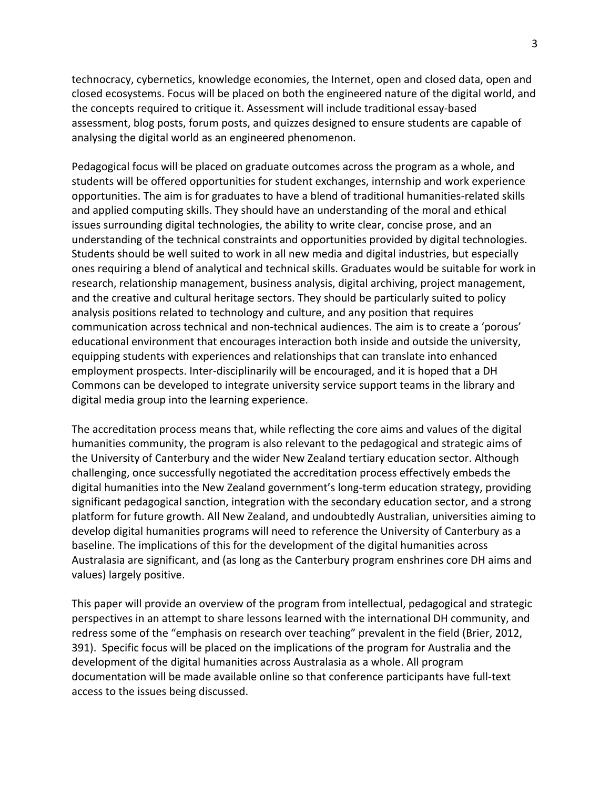technocracy, cybernetics, knowledge economies, the Internet, open and closed data, open and closed ecosystems. Focus will be placed on both the engineered nature of the digital world, and the concepts required to critique it. Assessment will include traditional essay-based assessment, blog posts, forum posts, and quizzes designed to ensure students are capable of analysing the digital world as an engineered phenomenon.

Pedagogical focus will be placed on graduate outcomes across the program as a whole, and students will be offered opportunities for student exchanges, internship and work experience opportunities. The aim is for graduates to have a blend of traditional humanities-related skills and applied computing skills. They should have an understanding of the moral and ethical issues surrounding digital technologies, the ability to write clear, concise prose, and an understanding of the technical constraints and opportunities provided by digital technologies. Students should be well suited to work in all new media and digital industries, but especially ones requiring a blend of analytical and technical skills. Graduates would be suitable for work in research, relationship management, business analysis, digital archiving, project management, and the creative and cultural heritage sectors. They should be particularly suited to policy analysis positions related to technology and culture, and any position that requires communication across technical and non-technical audiences. The aim is to create a 'porous' educational environment that encourages interaction both inside and outside the university, equipping students with experiences and relationships that can translate into enhanced employment prospects. Inter-disciplinarily will be encouraged, and it is hoped that a DH Commons can be developed to integrate university service support teams in the library and digital media group into the learning experience.

The accreditation process means that, while reflecting the core aims and values of the digital humanities community, the program is also relevant to the pedagogical and strategic aims of the University of Canterbury and the wider New Zealand tertiary education sector. Although challenging, once successfully negotiated the accreditation process effectively embeds the digital humanities into the New Zealand government's long-term education strategy, providing significant pedagogical sanction, integration with the secondary education sector, and a strong platform for future growth. All New Zealand, and undoubtedly Australian, universities aiming to develop digital humanities programs will need to reference the University of Canterbury as a baseline. The implications of this for the development of the digital humanities across Australasia are significant, and (as long as the Canterbury program enshrines core DH aims and values) largely positive.

This paper will provide an overview of the program from intellectual, pedagogical and strategic perspectives in an attempt to share lessons learned with the international DH community, and redress some of the "emphasis on research over teaching" prevalent in the field (Brier, 2012, 391). Specific focus will be placed on the implications of the program for Australia and the development of the digital humanities across Australasia as a whole. All program documentation will be made available online so that conference participants have full-text access to the issues being discussed.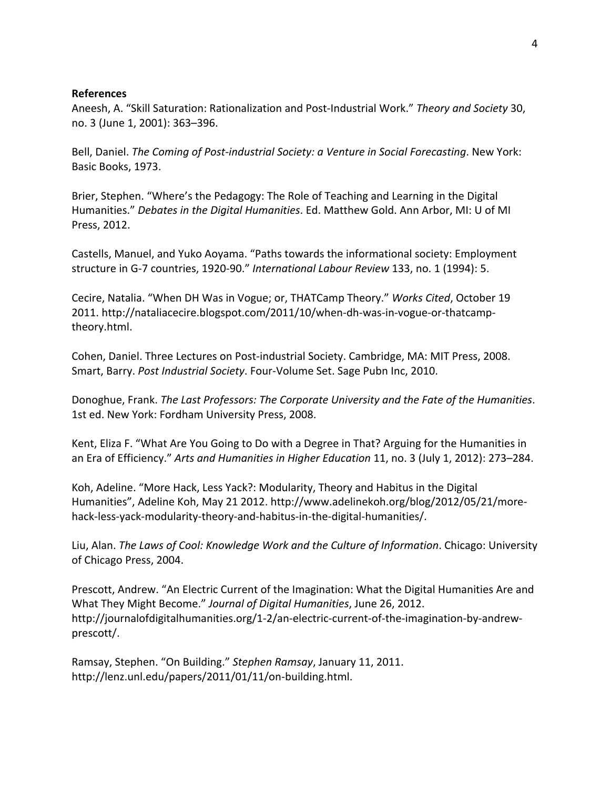## **References**

Aneesh, A. "Skill Saturation: Rationalization and Post-Industrial Work." Theory and Society 30, no. 3 (June 1, 2001): 363-396.

Bell, Daniel. *The Coming of Post-industrial Society: a Venture in Social Forecasting*. New York: Basic Books, 1973.

Brier, Stephen. "Where's the Pedagogy: The Role of Teaching and Learning in the Digital Humanities." Debates in the Digital Humanities. Ed. Matthew Gold. Ann Arbor, MI: U of MI Press, 2012.

Castells, Manuel, and Yuko Aoyama. "Paths towards the informational society: Employment structure in G-7 countries, 1920-90." International Labour Review 133, no. 1 (1994): 5.

Cecire, Natalia. "When DH Was in Vogue; or, THATCamp Theory." *Works Cited*, October 19 2011. http://nataliacecire.blogspot.com/2011/10/when-dh-was-in-vogue-or-thatcamptheory.html.

Cohen, Daniel. Three Lectures on Post-industrial Society. Cambridge, MA: MIT Press, 2008. Smart, Barry. Post Industrial Society. Four-Volume Set. Sage Pubn Inc, 2010.

Donoghue, Frank. The Last Professors: The Corporate University and the Fate of the Humanities. 1st ed. New York: Fordham University Press, 2008.

Kent, Eliza F. "What Are You Going to Do with a Degree in That? Arguing for the Humanities in an Era of Efficiency." Arts and Humanities in Higher Education 11, no. 3 (July 1, 2012): 273–284.

Koh, Adeline. "More Hack, Less Yack?: Modularity, Theory and Habitus in the Digital Humanities", Adeline Koh, May 21 2012. http://www.adelinekoh.org/blog/2012/05/21/morehack-less-yack-modularity-theory-and-habitus-in-the-digital-humanities/.

Liu, Alan. *The Laws of Cool: Knowledge Work and the Culture of Information*. Chicago: University of Chicago Press, 2004.

Prescott, Andrew. "An Electric Current of the Imagination: What the Digital Humanities Are and What They Might Become." Journal of Digital Humanities, June 26, 2012. http://journalofdigitalhumanities.org/1-2/an-electric-current-of-the-imagination-by-andrewprescott/.

Ramsay, Stephen. "On Building." Stephen Ramsay, January 11, 2011. http://lenz.unl.edu/papers/2011/01/11/on-building.html.